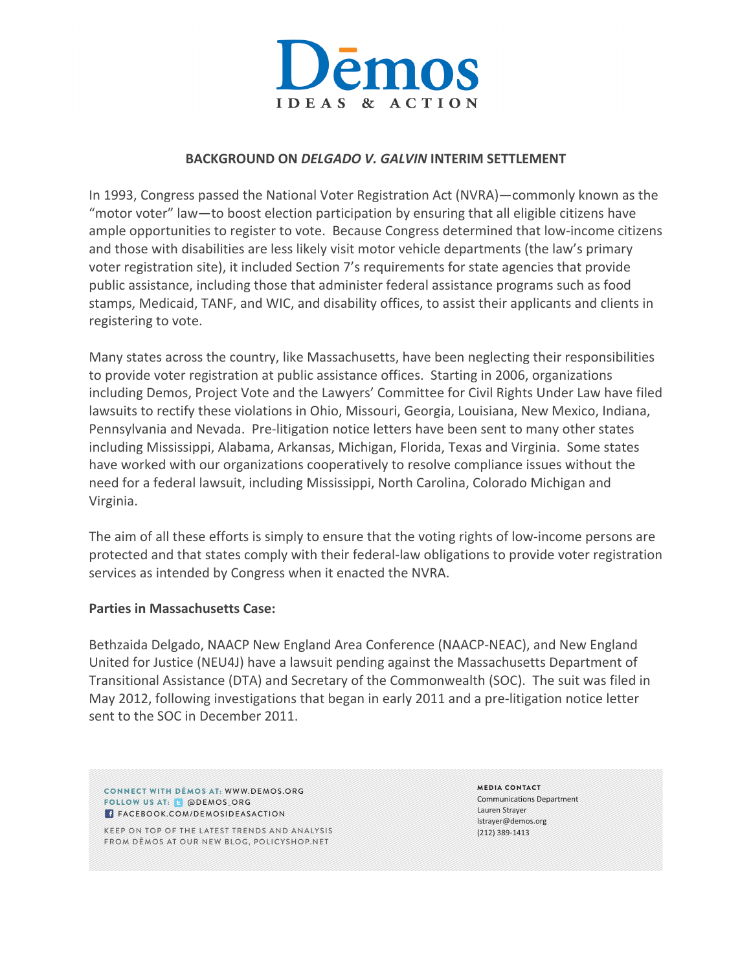

# **BACKGROUND ON** *DELGADO V. GALVIN* **INTERIM SETTLEMENT**

In 1993, Congress passed the National Voter Registration Act (NVRA)—commonly known as the "motor voter" law—to boost election participation by ensuring that all eligible citizens have ample opportunities to register to vote. Because Congress determined that low-income citizens and those with disabilities are less likely visit motor vehicle departments (the law's primary voter registration site), it included Section 7's requirements for state agencies that provide public assistance, including those that administer federal assistance programs such as food stamps, Medicaid, TANF, and WIC, and disability offices, to assist their applicants and clients in registering to vote.

Many states across the country, like Massachusetts, have been neglecting their responsibilities to provide voter registration at public assistance offices. Starting in 2006, organizations including Demos, Project Vote and the Lawyers' Committee for Civil Rights Under Law have filed lawsuits to rectify these violations in Ohio, Missouri, Georgia, Louisiana, New Mexico, Indiana, Pennsylvania and Nevada. Pre-litigation notice letters have been sent to many other states including Mississippi, Alabama, Arkansas, Michigan, Florida, Texas and Virginia. Some states have worked with our organizations cooperatively to resolve compliance issues without the need for a federal lawsuit, including Mississippi, North Carolina, Colorado Michigan and Virginia. 

The aim of all these efforts is simply to ensure that the voting rights of low-income persons are protected and that states comply with their federal-law obligations to provide voter registration services as intended by Congress when it enacted the NVRA.

## **Parties in Massachusetts Case:**

Bethzaida Delgado, NAACP New England Area Conference (NAACP-NEAC), and New England United for Justice (NEU4J) have a lawsuit pending against the Massachusetts Department of Transitional Assistance (DTA) and Secretary of the Commonwealth (SOC). The suit was filed in May 2012, following investigations that began in early 2011 and a pre-litigation notice letter sent to the SOC in December 2011.

CONNECT WITH DĒMOS AT: WWW.DEMOS.ORG FOLLOW US AT: @ @DEMOS\_ORG **FACEBOOK.COM/DEMOSIDEASACTION** 

KEEP ON TOP OF THE LATEST TRENDS AND ANALYSIS FROM DĒMOS AT OUR NEW BLOG, POLICYSHOP.NET

MEDIA CONTACT **Communications Department** Lauren Strayer lstrayer@demos.org (212) 389-1413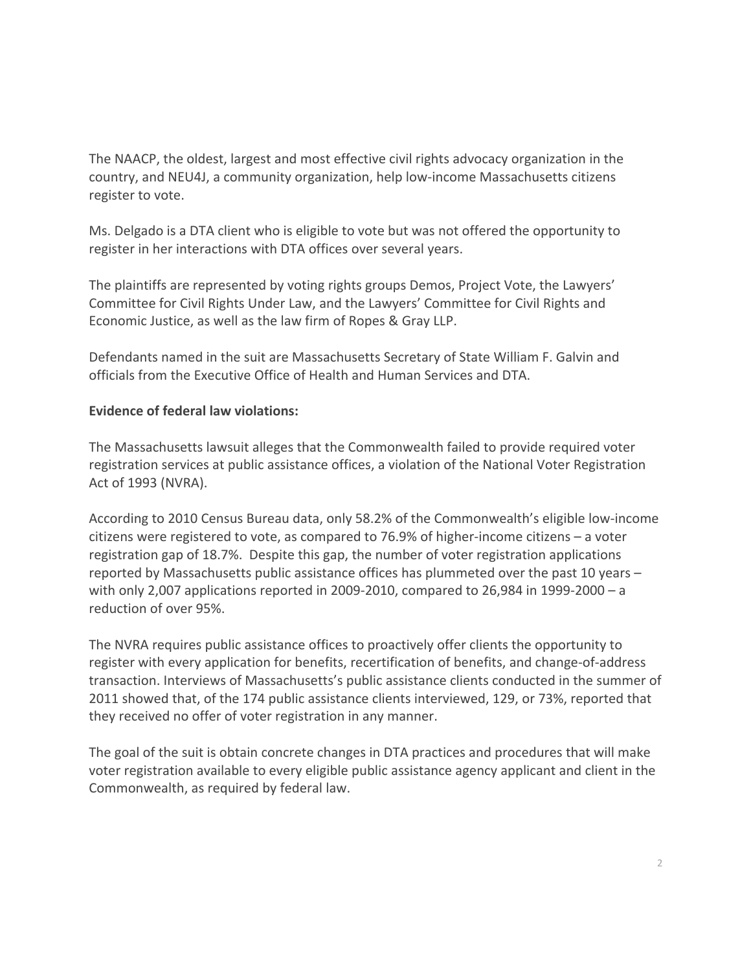The NAACP, the oldest, largest and most effective civil rights advocacy organization in the country, and NEU4J, a community organization, help low-income Massachusetts citizens register to vote.

Ms. Delgado is a DTA client who is eligible to vote but was not offered the opportunity to register in her interactions with DTA offices over several years.

The plaintiffs are represented by voting rights groups Demos, Project Vote, the Lawyers' Committee for Civil Rights Under Law, and the Lawyers' Committee for Civil Rights and Economic Justice, as well as the law firm of Ropes & Gray LLP.

Defendants named in the suit are Massachusetts Secretary of State William F. Galvin and officials from the Executive Office of Health and Human Services and DTA.

# **Evidence of federal law violations:**

The Massachusetts lawsuit alleges that the Commonwealth failed to provide required voter registration services at public assistance offices, a violation of the National Voter Registration Act of 1993 (NVRA).

According to 2010 Census Bureau data, only 58.2% of the Commonwealth's eligible low-income citizens were registered to vote, as compared to 76.9% of higher-income citizens  $-$  a voter registration gap of 18.7%. Despite this gap, the number of voter registration applications reported by Massachusetts public assistance offices has plummeted over the past 10 years  $$ with only 2,007 applications reported in 2009-2010, compared to 26,984 in 1999-2000 – a reduction of over 95%.

The NVRA requires public assistance offices to proactively offer clients the opportunity to register with every application for benefits, recertification of benefits, and change-of-address transaction. Interviews of Massachusetts's public assistance clients conducted in the summer of 2011 showed that, of the 174 public assistance clients interviewed, 129, or 73%, reported that they received no offer of voter registration in any manner.

The goal of the suit is obtain concrete changes in DTA practices and procedures that will make voter registration available to every eligible public assistance agency applicant and client in the Commonwealth, as required by federal law.